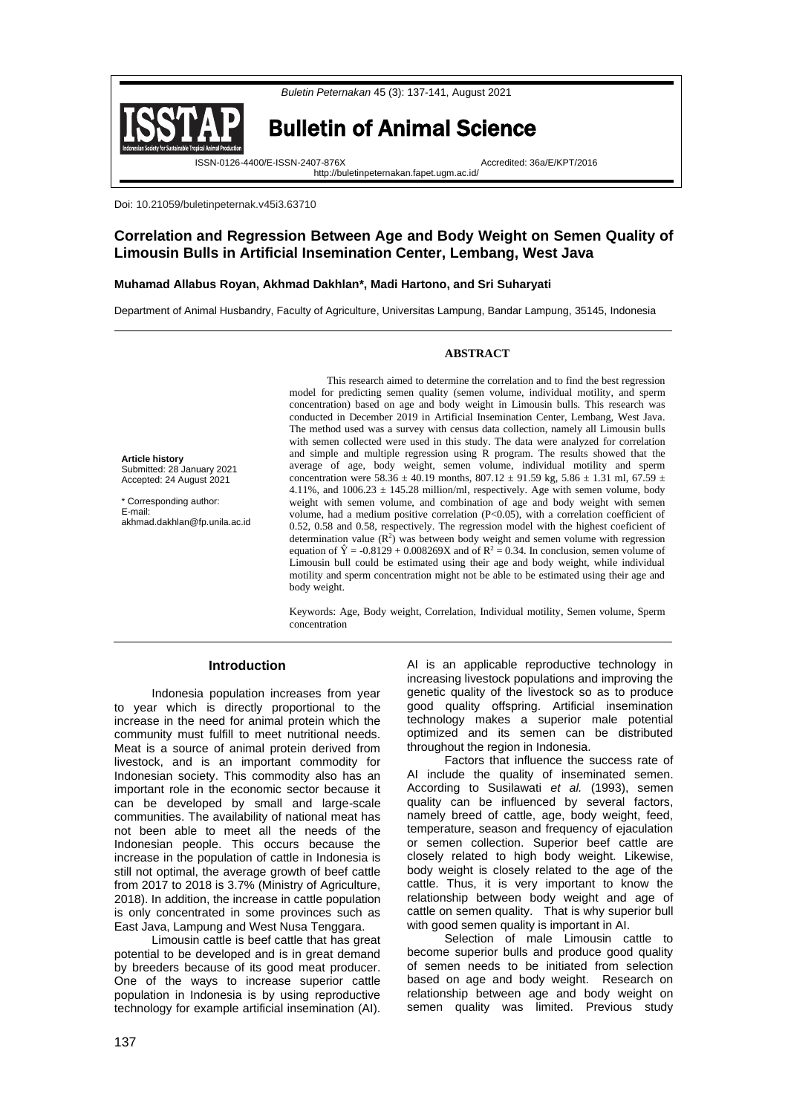



Bulletin of Animal Science

http://buletinpeternakan.fapet.ugm.ac.id/

ISSN-0126-4400/E-ISSN-2407-876X Accredited: 36a/E/KPT/2016

Doi: 10.21059/buletinpeternak.v45i3.63710

# **Correlation and Regression Between Age and Body Weight on Semen Quality of Limousin Bulls in Artificial Insemination Center, Lembang, West Java**

# **Muhamad Allabus Royan, Akhmad Dakhlan\*, Madi Hartono, and Sri Suharyati**

Department of Animal Husbandry, Faculty of Agriculture, Universitas Lampung, Bandar Lampung, 35145, Indonesia

## **ABSTRACT**

**Article history** Submitted: 28 January 2021 Accepted: 24 August 2021

\* Corresponding author: E-mail: akhmad.dakhlan@fp.unila.ac.id

This research aimed to determine the correlation and to find the best regression model for predicting semen quality (semen volume, individual motility, and sperm concentration) based on age and body weight in Limousin bulls. This research was conducted in December 2019 in Artificial Insemination Center, Lembang, West Java. The method used was a survey with census data collection, namely all Limousin bulls with semen collected were used in this study. The data were analyzed for correlation and simple and multiple regression using R program. The results showed that the average of age, body weight, semen volume, individual motility and sperm concentration were  $58.36 \pm 40.19$  months,  $807.12 \pm 91.59$  kg,  $5.86 \pm 1.31$  ml,  $67.59 \pm 1.31$ 4.11%, and  $1006.23 \pm 145.28$  million/ml, respectively. Age with semen volume, body weight with semen volume, and combination of age and body weight with semen volume, had a medium positive correlation (P<0.05), with a correlation coefficient of 0.52, 0.58 and 0.58, respectively. The regression model with the highest coeficient of determination value  $(\mathbb{R}^2)$  was between body weight and semen volume with regression equation of  $\hat{Y} = -0.8129 + 0.008269X$  and of  $\mathbb{R}^2 = 0.34$ . In conclusion, semen volume of Limousin bull could be estimated using their age and body weight, while individual motility and sperm concentration might not be able to be estimated using their age and body weight.

Keywords: Age, Body weight, Correlation, Individual motility, Semen volume, Sperm concentration

#### **Introduction**

Indonesia population increases from year to year which is directly proportional to the increase in the need for animal protein which the community must fulfill to meet nutritional needs. Meat is a source of animal protein derived from livestock, and is an important commodity for Indonesian society. This commodity also has an important role in the economic sector because it can be developed by small and large-scale communities. The availability of national meat has not been able to meet all the needs of the Indonesian people. This occurs because the increase in the population of cattle in Indonesia is still not optimal, the average growth of beef cattle from 2017 to 2018 is 3.7% (Ministry of Agriculture, 2018). In addition, the increase in cattle population is only concentrated in some provinces such as East Java, Lampung and West Nusa Tenggara.

Limousin cattle is beef cattle that has great potential to be developed and is in great demand by breeders because of its good meat producer. One of the ways to increase superior cattle population in Indonesia is by using reproductive technology for example artificial insemination (AI).

AI is an applicable reproductive technology in increasing livestock populations and improving the genetic quality of the livestock so as to produce good quality offspring. Artificial insemination technology makes a superior male potential optimized and its semen can be distributed throughout the region in Indonesia.

Factors that influence the success rate of AI include the quality of inseminated semen. According to Susilawati *et al.* (1993), semen quality can be influenced by several factors, namely breed of cattle, age, body weight, feed, temperature, season and frequency of ejaculation or semen collection. Superior beef cattle are closely related to high body weight. Likewise, body weight is closely related to the age of the cattle. Thus, it is very important to know the relationship between body weight and age of cattle on semen quality. That is why superior bull with good semen quality is important in AI.

Selection of male Limousin cattle to become superior bulls and produce good quality of semen needs to be initiated from selection based on age and body weight. Research on relationship between age and body weight on semen quality was limited. Previous study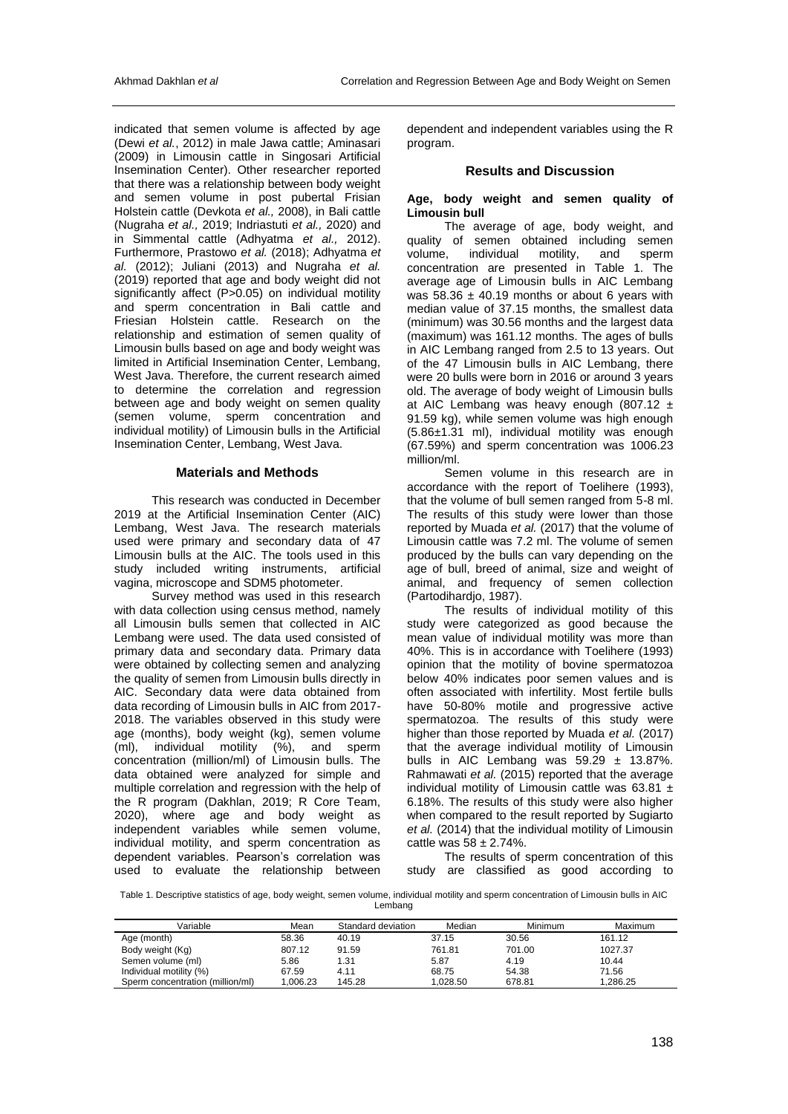indicated that semen volume is affected by age (Dewi *et al.*, 2012) in male Jawa cattle; Aminasari (2009) in Limousin cattle in Singosari Artificial Insemination Center). Other researcher reported that there was a relationship between body weight and semen volume in post pubertal Frisian Holstein cattle (Devkota *et al.,* 2008), in Bali cattle (Nugraha *et al.,* 2019; Indriastuti *et al.,* 2020) and in Simmental cattle (Adhyatma *et al.,* 2012). Furthermore, Prastowo *et al.* (2018); Adhyatma *et al.* (2012); Juliani (2013) and Nugraha *et al.* (2019) reported that age and body weight did not significantly affect (P>0.05) on individual motility and sperm concentration in Bali cattle and Friesian Holstein cattle. Research on the relationship and estimation of semen quality of Limousin bulls based on age and body weight was limited in Artificial Insemination Center, Lembang, West Java. Therefore, the current research aimed to determine the correlation and regression between age and body weight on semen quality (semen volume, sperm concentration and individual motility) of Limousin bulls in the Artificial Insemination Center, Lembang, West Java.

#### **Materials and Methods**

This research was conducted in December 2019 at the Artificial Insemination Center (AIC) Lembang, West Java. The research materials used were primary and secondary data of 47 Limousin bulls at the AIC. The tools used in this study included writing instruments, artificial vagina, microscope and SDM5 photometer.

Survey method was used in this research with data collection using census method, namely all Limousin bulls semen that collected in AIC Lembang were used. The data used consisted of primary data and secondary data. Primary data were obtained by collecting semen and analyzing the quality of semen from Limousin bulls directly in AIC. Secondary data were data obtained from data recording of Limousin bulls in AIC from 2017- 2018. The variables observed in this study were age (months), body weight (kg), semen volume (ml), individual motility (%), and sperm concentration (million/ml) of Limousin bulls. The data obtained were analyzed for simple and multiple correlation and regression with the help of the R program (Dakhlan, 2019; R Core Team, 2020), where age and body weight as independent variables while semen volume, individual motility, and sperm concentration as dependent variables. Pearson's correlation was used to evaluate the relationship between

dependent and independent variables using the R program.

#### **Results and Discussion**

#### **Age, body weight and semen quality of Limousin bull**

The average of age, body weight, and quality of semen obtained including semen<br>volume, individual motility, and sperm individual motility, and sperm concentration are presented in Table 1. The average age of Limousin bulls in AIC Lembang was  $58.36 \pm 40.19$  months or about 6 years with median value of 37.15 months, the smallest data (minimum) was 30.56 months and the largest data (maximum) was 161.12 months. The ages of bulls in AIC Lembang ranged from 2.5 to 13 years. Out of the 47 Limousin bulls in AIC Lembang, there were 20 bulls were born in 2016 or around 3 years old. The average of body weight of Limousin bulls at AIC Lembang was heavy enough (807.12  $\pm$ 91.59 kg), while semen volume was high enough (5.86±1.31 ml), individual motility was enough (67.59%) and sperm concentration was 1006.23 million/ml.

Semen volume in this research are in accordance with the report of Toelihere (1993), that the volume of bull semen ranged from 5-8 ml. The results of this study were lower than those reported by Muada *et al.* (2017) that the volume of Limousin cattle was 7.2 ml. The volume of semen produced by the bulls can vary depending on the age of bull, breed of animal, size and weight of animal, and frequency of semen collection (Partodihardjo, 1987).

The results of individual motility of this study were categorized as good because the mean value of individual motility was more than 40%. This is in accordance with Toelihere (1993) opinion that the motility of bovine spermatozoa below 40% indicates poor semen values and is often associated with infertility. Most fertile bulls have 50-80% motile and progressive active spermatozoa. The results of this study were higher than those reported by Muada *et al.* (2017) that the average individual motility of Limousin bulls in AIC Lembang was  $59.29 \pm 13.87\%$ . Rahmawati *et al.* (2015) reported that the average individual motility of Limousin cattle was  $63.81 +$ 6.18%. The results of this study were also higher when compared to the result reported by Sugiarto *et al.* (2014) that the individual motility of Limousin cattle was  $58 \pm 2.74\%$ .

The results of sperm concentration of this study are classified as good according to

Table 1. Descriptive statistics of age, body weight, semen volume, individual motility and sperm concentration of Limousin bulls in AIC Lembang

| Variable                         | Mean     | Standard deviation | Median   | Minimum | Maximum  |
|----------------------------------|----------|--------------------|----------|---------|----------|
| Age (month)                      | 58.36    | 40.19              | 37.15    | 30.56   | 161.12   |
| Body weight (Kg)                 | 807.12   | 91.59              | 761.81   | 701.00  | 1027.37  |
| Semen volume (ml)                | 5.86     | 1.31               | 5.87     | 4.19    | 10.44    |
| Individual motility (%)          | 67.59    | 4.11               | 68.75    | 54.38   | 71.56    |
| Sperm concentration (million/ml) | 1.006.23 | 145.28             | 1.028.50 | 678.81  | 1.286.25 |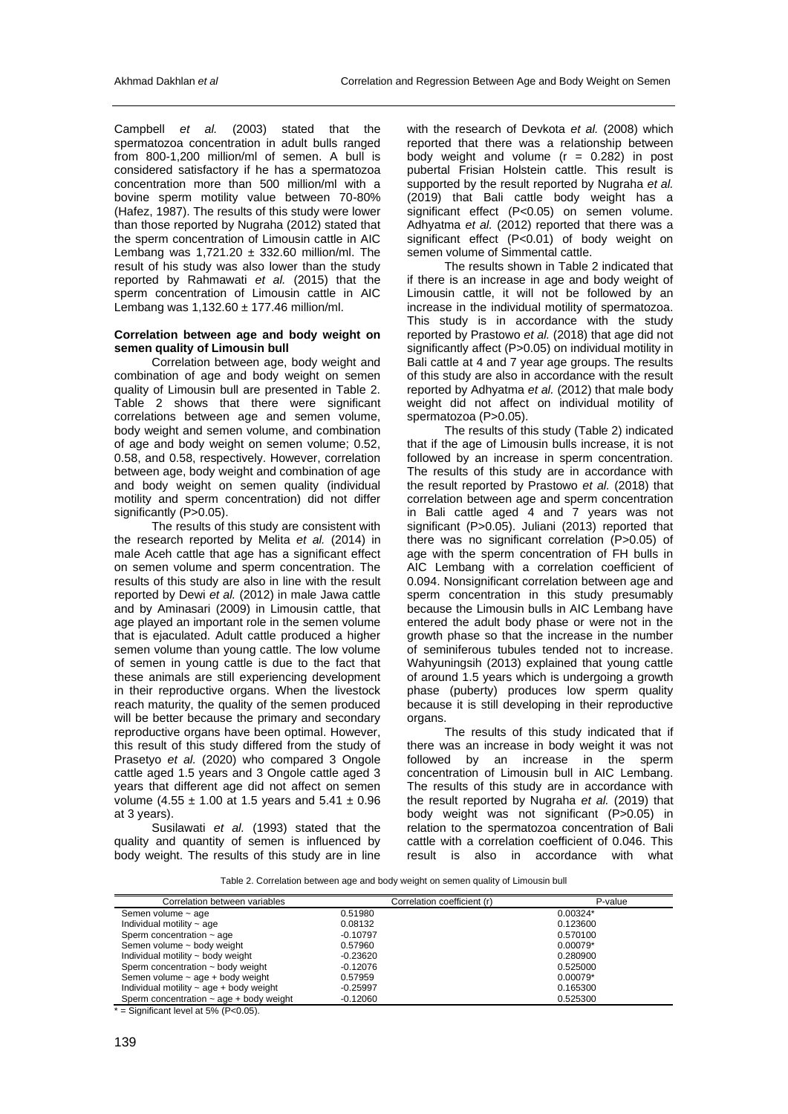Campbell *et al.* (2003) stated that the spermatozoa concentration in adult bulls ranged from 800-1,200 million/ml of semen. A bull is considered satisfactory if he has a spermatozoa concentration more than 500 million/ml with a bovine sperm motility value between 70-80% (Hafez, 1987). The results of this study were lower than those reported by Nugraha (2012) stated that the sperm concentration of Limousin cattle in AIC Lembang was  $1,721.20 \pm 332.60$  million/ml. The result of his study was also lower than the study reported by Rahmawati *et al.* (2015) that the sperm concentration of Limousin cattle in AIC Lembang was  $1,132.60 \pm 177.46$  million/ml.

#### **Correlation between age and body weight on semen quality of Limousin bull**

Correlation between age, body weight and combination of age and body weight on semen quality of Limousin bull are presented in Table 2. Table 2 shows that there were significant correlations between age and semen volume, body weight and semen volume, and combination of age and body weight on semen volume; 0.52, 0.58, and 0.58, respectively. However, correlation between age, body weight and combination of age and body weight on semen quality (individual motility and sperm concentration) did not differ significantly (P>0.05).

The results of this study are consistent with the research reported by Melita *et al.* (2014) in male Aceh cattle that age has a significant effect on semen volume and sperm concentration. The results of this study are also in line with the result reported by Dewi *et al.* (2012) in male Jawa cattle and by Aminasari (2009) in Limousin cattle, that age played an important role in the semen volume that is ejaculated. Adult cattle produced a higher semen volume than young cattle. The low volume of semen in young cattle is due to the fact that these animals are still experiencing development in their reproductive organs. When the livestock reach maturity, the quality of the semen produced will be better because the primary and secondary reproductive organs have been optimal. However, this result of this study differed from the study of Prasetyo *et al.* (2020) who compared 3 Ongole cattle aged 1.5 years and 3 Ongole cattle aged 3 years that different age did not affect on semen volume (4.55  $\pm$  1.00 at 1.5 years and 5.41  $\pm$  0.96 at 3 years).

Susilawati *et al.* (1993) stated that the quality and quantity of semen is influenced by body weight. The results of this study are in line

with the research of Devkota *et al.* (2008) which reported that there was a relationship between body weight and volume  $(r = 0.282)$  in post pubertal Frisian Holstein cattle. This result is supported by the result reported by Nugraha *et al.* (2019) that Bali cattle body weight has a significant effect (P<0.05) on semen volume. Adhyatma *et al.* (2012) reported that there was a significant effect  $(P< 0.01)$  of body weight on semen volume of Simmental cattle.

The results shown in Table 2 indicated that if there is an increase in age and body weight of Limousin cattle, it will not be followed by an increase in the individual motility of spermatozoa. This study is in accordance with the study reported by Prastowo *et al.* (2018) that age did not significantly affect (P>0.05) on individual motility in Bali cattle at 4 and 7 year age groups. The results of this study are also in accordance with the result reported by Adhyatma *et al.* (2012) that male body weight did not affect on individual motility of spermatozoa (P>0.05).

The results of this study (Table 2) indicated that if the age of Limousin bulls increase, it is not followed by an increase in sperm concentration. The results of this study are in accordance with the result reported by Prastowo *et al.* (2018) that correlation between age and sperm concentration in Bali cattle aged 4 and 7 years was not significant (P>0.05). Juliani (2013) reported that there was no significant correlation (P>0.05) of age with the sperm concentration of FH bulls in AIC Lembang with a correlation coefficient of 0.094. Nonsignificant correlation between age and sperm concentration in this study presumably because the Limousin bulls in AIC Lembang have entered the adult body phase or were not in the growth phase so that the increase in the number of seminiferous tubules tended not to increase. Wahyuningsih (2013) explained that young cattle of around 1.5 years which is undergoing a growth phase (puberty) produces low sperm quality because it is still developing in their reproductive organs.

The results of this study indicated that if there was an increase in body weight it was not followed by an increase in the sperm concentration of Limousin bull in AIC Lembang. The results of this study are in accordance with the result reported by Nugraha *et al.* (2019) that body weight was not significant (P>0.05) in relation to the spermatozoa concentration of Bali cattle with a correlation coefficient of 0.046. This result is also in accordance with what

Table 2. Correlation between age and body weight on semen quality of Limousin bull

| Correlation between variables                | Correlation coefficient (r) | P-value    |
|----------------------------------------------|-----------------------------|------------|
| Semen volume ~ age                           | 0.51980                     | $0.00324*$ |
| Individual motility $\sim$ age               | 0.08132                     | 0.123600   |
| Sperm concentration ~ age                    | $-0.10797$                  | 0.570100   |
| Semen volume ~ body weight                   | 0.57960                     | $0.00079*$ |
| Individual motility ~ body weight            | $-0.23620$                  | 0.280900   |
| Sperm concentration ~ body weight            | $-0.12076$                  | 0.525000   |
| Semen volume $\sim$ age + body weight        | 0.57959                     | $0.00079*$ |
| Individual motility $\sim$ age + body weight | $-0.25997$                  | 0.165300   |
| Sperm concentration $\sim$ age + body weight | $-0.12060$                  | 0.525300   |

 $*$  = Significant level at 5% (P<0.05).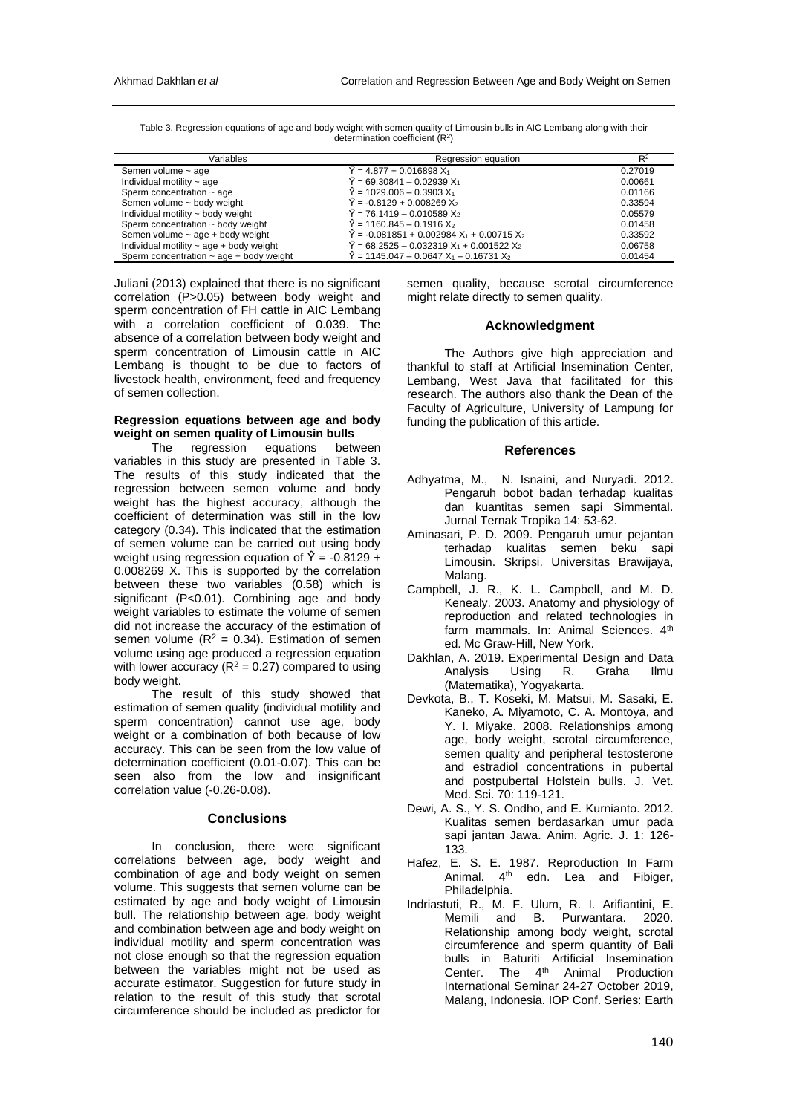| Variables                                    | Regression equation                                                      | $R^2$   |
|----------------------------------------------|--------------------------------------------------------------------------|---------|
| Semen volume ~ age                           | $\widetilde{Y}$ = 4.877 + 0.016898 $X_1$                                 | 0.27019 |
| Individual motility $\sim$ age               | $\hat{Y} = 69.30841 - 0.02939 X_1$                                       | 0.00661 |
| Sperm concentration $\sim$ age               | $\hat{Y}$ = 1029.006 – 0.3903 $X_1$                                      | 0.01166 |
| Semen volume ~ body weight                   | $\hat{Y} = -0.8129 + 0.008269 X_2$                                       | 0.33594 |
| Individual motility ~ body weight            | $\hat{Y}$ = 76.1419 – 0.010589 X <sub>2</sub>                            | 0.05579 |
| Sperm concentration $\sim$ body weight       | $\hat{Y}$ = 1160.845 – 0.1916 X $_{2}$                                   | 0.01458 |
| Semen volume $\sim$ age + body weight        | $\hat{Y}$ = -0.081851 + 0.002984 X <sub>1</sub> + 0.00715 X <sub>2</sub> | 0.33592 |
| Individual motility $\sim$ age + body weight | $\hat{Y}$ = 68.2525 – 0.032319 X1 + 0.001522 X2                          | 0.06758 |
| Sperm concentration $\sim$ age + body weight | $\hat{Y}$ = 1145.047 – 0.0647 X1 – 0.16731 X2                            | 0.01454 |

Table 3. Regression equations of age and body weight with semen quality of Limousin bulls in AIC Lembang along with their determination coefficient  $(R<sup>2</sup>)$ 

Juliani (2013) explained that there is no significant correlation (P>0.05) between body weight and sperm concentration of FH cattle in AIC Lembang with a correlation coefficient of 0.039. The absence of a correlation between body weight and sperm concentration of Limousin cattle in AIC Lembang is thought to be due to factors of livestock health, environment, feed and frequency of semen collection.

# **Regression equations between age and body weight on semen quality of Limousin bulls**

The regression equations between variables in this study are presented in Table 3. The results of this study indicated that the regression between semen volume and body weight has the highest accuracy, although the coefficient of determination was still in the low category (0.34). This indicated that the estimation of semen volume can be carried out using body weight using regression equation of  $\hat{Y} = -0.8129 +$ 0.008269 X. This is supported by the correlation between these two variables (0.58) which is significant (P<0.01). Combining age and body weight variables to estimate the volume of semen did not increase the accuracy of the estimation of semen volume ( $R^2 = 0.34$ ). Estimation of semen volume using age produced a regression equation with lower accuracy ( $R^2$  = 0.27) compared to using body weight.

The result of this study showed that estimation of semen quality (individual motility and sperm concentration) cannot use age, body weight or a combination of both because of low accuracy. This can be seen from the low value of determination coefficient (0.01-0.07). This can be seen also from the low and insignificant correlation value (-0.26-0.08).

## **Conclusions**

In conclusion, there were significant correlations between age, body weight and combination of age and body weight on semen volume. This suggests that semen volume can be estimated by age and body weight of Limousin bull. The relationship between age, body weight and combination between age and body weight on individual motility and sperm concentration was not close enough so that the regression equation between the variables might not be used as accurate estimator. Suggestion for future study in relation to the result of this study that scrotal circumference should be included as predictor for semen quality, because scrotal circumference might relate directly to semen quality.

# **Acknowledgment**

The Authors give high appreciation and thankful to staff at Artificial Insemination Center, Lembang, West Java that facilitated for this research. The authors also thank the Dean of the Faculty of Agriculture, University of Lampung for funding the publication of this article.

#### **References**

- Adhyatma, M., N. Isnaini, and Nuryadi. 2012. Pengaruh bobot badan terhadap kualitas dan kuantitas semen sapi Simmental. Jurnal Ternak Tropika 14: 53-62.
- Aminasari, P. D. 2009. Pengaruh umur pejantan terhadap kualitas semen beku sapi Limousin. Skripsi. Universitas Brawijaya, Malang.
- Campbell, J. R., K. L. Campbell, and M. D. Kenealy. 2003. Anatomy and physiology of reproduction and related technologies in farm mammals. In: Animal Sciences. 4th ed. Mc Graw-Hill, New York.
- Dakhlan, A. 2019. Experimental Design and Data Analysis Using R. Graha Ilmu (Matematika), Yogyakarta.
- Devkota, B., T. Koseki, M. Matsui, M. Sasaki, E. Kaneko, A. Miyamoto, C. A. Montoya, and Y. I. Miyake. 2008. Relationships among age, body weight, scrotal circumference, semen quality and peripheral testosterone and estradiol concentrations in pubertal and postpubertal Holstein bulls. J. Vet. Med. Sci. 70: 119-121.
- Dewi, A. S., Y. S. Ondho, and E. Kurnianto. 2012. Kualitas semen berdasarkan umur pada sapi jantan Jawa. Anim. Agric. J. 1: 126- 133.
- Hafez, E. S. E. 1987. Reproduction In Farm Animal.  $4<sup>th</sup>$  edn. Lea and Fibiger, Philadelphia.
- Indriastuti, R., M. F. Ulum, R. I. Arifiantini, E. Memili and B. Purwantara. 2020. Relationship among body weight, scrotal circumference and sperm quantity of Bali bulls in Baturiti Artificial Insemination Center. The 4<sup>th</sup> Animal Production International Seminar 24-27 October 2019, Malang, Indonesia. IOP Conf. Series: Earth